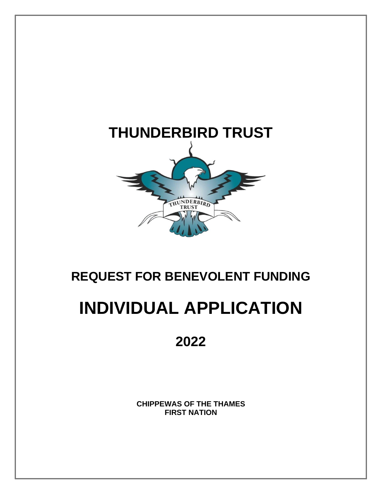

## **REQUEST FOR BENEVOLENT FUNDING**

# **INDIVIDUAL APPLICATION**

## **2022**

**CHIPPEWAS OF THE THAMES FIRST NATION**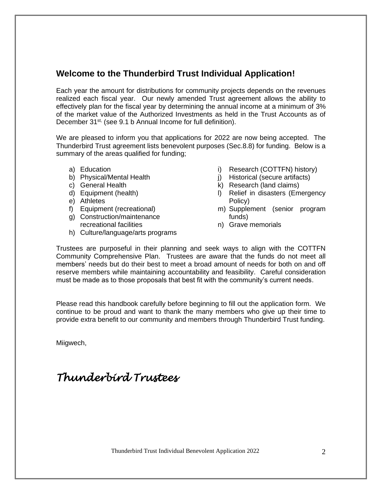#### **Welcome to the Thunderbird Trust Individual Application!**

Each year the amount for distributions for community projects depends on the revenues realized each fiscal year. Our newly amended Trust agreement allows the ability to effectively plan for the fiscal year by determining the annual income at a minimum of 3% of the market value of the Authorized Investments as held in the Trust Accounts as of December 31<sup>st,</sup> (see 9.1 b Annual Income for full definition).

We are pleased to inform you that applications for 2022 are now being accepted. The Thunderbird Trust agreement lists benevolent purposes (Sec.8.8) for funding. Below is a summary of the areas qualified for funding;

- a) Education
- b) Physical/Mental Health
- c) General Health
- d) Equipment (health)
- e) Athletes
- f) Equipment (recreational)
- g) Construction/maintenance
- recreational facilities
- h) Culture/language/arts programs
- i) Research (COTTFN) history)
- j) Historical (secure artifacts)
- k) Research (land claims)
- l) Relief in disasters (Emergency Policy)
- m) Supplement (senior program funds)
- n) Grave memorials

Trustees are purposeful in their planning and seek ways to align with the COTTFN Community Comprehensive Plan. Trustees are aware that the funds do not meet all members' needs but do their best to meet a broad amount of needs for both on and off reserve members while maintaining accountability and feasibility. Careful consideration must be made as to those proposals that best fit with the community's current needs.

Please read this handbook carefully before beginning to fill out the application form. We continue to be proud and want to thank the many members who give up their time to provide extra benefit to our community and members through Thunderbird Trust funding.

Miigwech,

## *Thunderbird Trustees*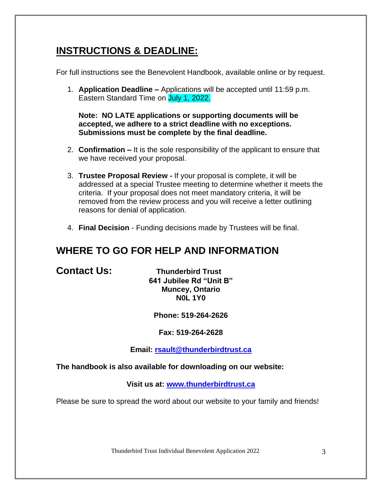### **INSTRUCTIONS & DEADLINE:**

For full instructions see the Benevolent Handbook, available online or by request.

1. **Application Deadline –** Applications will be accepted until 11:59 p.m. Eastern Standard Time on July 1, 2022.

**Note: NO LATE applications or supporting documents will be accepted, we adhere to a strict deadline with no exceptions. Submissions must be complete by the final deadline.**

- 2. **Confirmation –** It is the sole responsibility of the applicant to ensure that we have received your proposal.
- 3. **Trustee Proposal Review -** If your proposal is complete, it will be addressed at a special Trustee meeting to determine whether it meets the criteria. If your proposal does not meet mandatory criteria, it will be removed from the review process and you will receive a letter outlining reasons for denial of application.
- 4. **Final Decision** Funding decisions made by Trustees will be final.

### **WHERE TO GO FOR HELP AND INFORMATION**

**Contact Us: Thunderbird Trust 641 Jubilee Rd "Unit B" Muncey, Ontario N0L 1Y0**

**Phone: 519-264-2626**

**Fax: 519-264-2628**

**Email: [rsault@thunderbirdtrust.ca](mailto:rsault@thunderbirdtrust.ca)**

**The handbook is also available for downloading on our website:**

**Visit us at: [www.thunderbirdtrust.ca](http://www.thunderbirdtrust.ca/)**

Please be sure to spread the word about our website to your family and friends!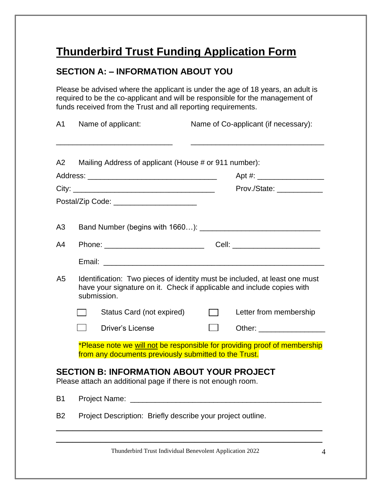## **Thunderbird Trust Funding Application Form**

#### **SECTION A: – INFORMATION ABOUT YOU**

Please be advised where the applicant is under the age of 18 years, an adult is required to be the co-applicant and will be responsible for the management of funds received from the Trust and all reporting requirements.

| A1                                                                                                                                                                        |                                                             | Name of applicant:                                                                                                                 |        | Name of Co-applicant (if necessary):                                                                           |  |
|---------------------------------------------------------------------------------------------------------------------------------------------------------------------------|-------------------------------------------------------------|------------------------------------------------------------------------------------------------------------------------------------|--------|----------------------------------------------------------------------------------------------------------------|--|
| A2                                                                                                                                                                        |                                                             | Mailing Address of applicant (House # or 911 number):                                                                              |        |                                                                                                                |  |
|                                                                                                                                                                           |                                                             |                                                                                                                                    |        |                                                                                                                |  |
|                                                                                                                                                                           |                                                             |                                                                                                                                    |        | Prov./State:                                                                                                   |  |
|                                                                                                                                                                           |                                                             | Postal/Zip Code: _______________________                                                                                           |        |                                                                                                                |  |
| A3                                                                                                                                                                        |                                                             |                                                                                                                                    |        |                                                                                                                |  |
| A4                                                                                                                                                                        |                                                             | Phone: ____________________________                                                                                                |        | Cell: __________________________                                                                               |  |
|                                                                                                                                                                           |                                                             |                                                                                                                                    |        |                                                                                                                |  |
| Identification: Two pieces of identity must be included, at least one must<br>A5<br>have your signature on it. Check if applicable and include copies with<br>submission. |                                                             |                                                                                                                                    |        |                                                                                                                |  |
|                                                                                                                                                                           |                                                             | Status Card (not expired)                                                                                                          | $\Box$ | Letter from membership                                                                                         |  |
|                                                                                                                                                                           |                                                             | <b>Driver's License</b>                                                                                                            |        | Other: and the contract of the contract of the contract of the contract of the contract of the contract of the |  |
|                                                                                                                                                                           |                                                             | *Please note we will not be responsible for providing proof of membership<br>from any documents previously submitted to the Trust. |        |                                                                                                                |  |
|                                                                                                                                                                           |                                                             | <b>SECTION B: INFORMATION ABOUT YOUR PROJECT</b><br>Please attach an additional page if there is not enough room.                  |        |                                                                                                                |  |
| <b>B1</b>                                                                                                                                                                 |                                                             |                                                                                                                                    |        |                                                                                                                |  |
| <b>B2</b>                                                                                                                                                                 | Project Description: Briefly describe your project outline. |                                                                                                                                    |        |                                                                                                                |  |

\_\_\_\_\_\_\_\_\_\_\_\_\_\_\_\_\_\_\_\_\_\_\_\_\_\_\_\_\_\_\_\_\_\_\_\_\_\_\_\_\_\_\_\_\_\_\_\_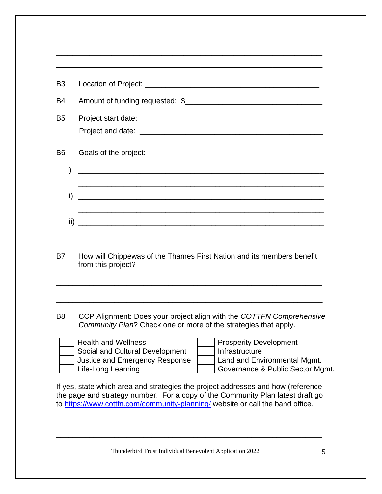| Goals of the project:                                                                       |
|---------------------------------------------------------------------------------------------|
| <u> 1980 - Johann John Stone, mars eta biztanleria (h. 1980).</u>                           |
|                                                                                             |
| iii)<br><u> 1990 - Johann Stoff, amerikansk politiker (d. 1980)</u>                         |
| How will Chippewas of the Thames First Nation and its members benefit<br>from this project? |
|                                                                                             |
|                                                                                             |

\_\_\_\_\_\_\_\_\_\_\_\_\_\_\_\_\_\_\_\_\_\_\_\_\_\_\_\_\_\_\_\_\_\_\_\_\_\_\_\_\_\_\_\_\_\_\_\_

B8 CCP Alignment: Does your project align with the *COTTFN Comprehensive Community Plan*? Check one or more of the strategies that apply.

| <b>Health and Wellness</b>      | <b>Prosperity Development</b>    |
|---------------------------------|----------------------------------|
| Social and Cultural Development | Infrastructure                   |
| Justice and Emergency Response  | Land and Environmental Mgmt.     |
| Life-Long Learning              | Governance & Public Sector Mgmt. |

If yes, state which area and strategies the project addresses and how (reference the page and strategy number. For a copy of the Community Plan latest draft go to [https://www.cottfn.com/community-planning](https://www.cottfn.com/community-planning/)[/](https://www.cottfn.com/community-planning/) website or call the band office.

\_\_\_\_\_\_\_\_\_\_\_\_\_\_\_\_\_\_\_\_\_\_\_\_\_\_\_\_\_\_\_\_\_\_\_\_\_\_\_\_\_\_\_\_\_\_\_\_\_\_\_\_\_\_\_\_\_\_\_\_\_\_\_\_

\_\_\_\_\_\_\_\_\_\_\_\_\_\_\_\_\_\_\_\_\_\_\_\_\_\_\_\_\_\_\_\_\_\_\_\_\_\_\_\_\_\_\_\_\_\_\_\_\_\_\_\_\_\_\_\_\_\_\_\_\_\_\_\_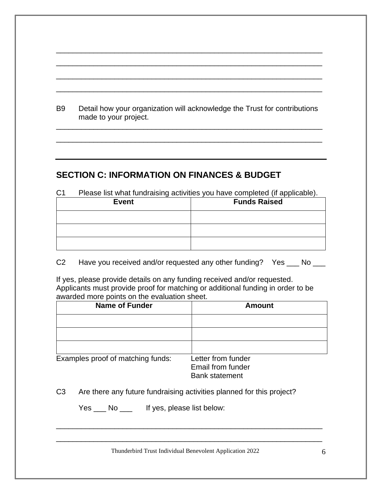| B9 | Detail how your organization will acknowledge the Trust for contributions |
|----|---------------------------------------------------------------------------|
|    | made to your project.                                                     |

\_\_\_\_\_\_\_\_\_\_\_\_\_\_\_\_\_\_\_\_\_\_\_\_\_\_\_\_\_\_\_\_\_\_\_\_\_\_\_\_\_\_\_\_\_\_\_\_\_\_\_\_\_\_\_\_\_\_\_\_\_\_\_\_

\_\_\_\_\_\_\_\_\_\_\_\_\_\_\_\_\_\_\_\_\_\_\_\_\_\_\_\_\_\_\_\_\_\_\_\_\_\_\_\_\_\_\_\_\_\_\_\_\_\_\_\_\_\_\_\_\_\_\_\_\_\_\_\_

\_\_\_\_\_\_\_\_\_\_\_\_\_\_\_\_\_\_\_\_\_\_\_\_\_\_\_\_\_\_\_\_\_\_\_\_\_\_\_\_\_\_\_\_\_\_\_\_\_\_\_\_\_\_\_\_\_\_\_\_\_\_\_\_

\_\_\_\_\_\_\_\_\_\_\_\_\_\_\_\_\_\_\_\_\_\_\_\_\_\_\_\_\_\_\_\_\_\_\_\_\_\_\_\_\_\_\_\_\_\_\_\_\_\_\_\_\_\_\_\_\_\_\_\_\_\_\_\_

\_\_\_\_\_\_\_\_\_\_\_\_\_\_\_\_\_\_\_\_\_\_\_\_\_\_\_\_\_\_\_\_\_\_\_\_\_\_\_\_\_\_\_\_\_\_\_\_\_\_\_\_\_\_\_\_\_\_\_\_\_\_\_\_

\_\_\_\_\_\_\_\_\_\_\_\_\_\_\_\_\_\_\_\_\_\_\_\_\_\_\_\_\_\_\_\_\_\_\_\_\_\_\_\_\_\_\_\_\_\_\_\_\_\_\_\_\_\_\_\_\_\_\_\_\_\_\_\_

#### **SECTION C: INFORMATION ON FINANCES & BUDGET**

| C <sub>1</sub> | Please list what fundraising activities you have completed (if applicable). |                     |
|----------------|-----------------------------------------------------------------------------|---------------------|
|                | <b>Event</b>                                                                | <b>Funds Raised</b> |
|                |                                                                             |                     |
|                |                                                                             |                     |
|                |                                                                             |                     |

C2 Have you received and/or requested any other funding? Yes \_\_\_ No \_\_\_

If yes, please provide details on any funding received and/or requested. Applicants must provide proof for matching or additional funding in order to be awarded more points on the evaluation sheet.

| <b>Name of Funder</b>             | <b>Amount</b>                                                    |
|-----------------------------------|------------------------------------------------------------------|
|                                   |                                                                  |
|                                   |                                                                  |
|                                   |                                                                  |
| Examples proof of matching funds: | Letter from funder<br>Email from funder<br><b>Bank statement</b> |

C3 Are there any future fundraising activities planned for this project?

Yes \_\_\_ No \_\_\_ If yes, please list below:

Thunderbird Trust Individual Benevolent Application 2022 6

\_\_\_\_\_\_\_\_\_\_\_\_\_\_\_\_\_\_\_\_\_\_\_\_\_\_\_\_\_\_\_\_\_\_\_\_\_\_\_\_\_\_\_\_\_\_\_\_\_\_\_\_\_\_\_\_\_\_\_\_\_\_\_\_

\_\_\_\_\_\_\_\_\_\_\_\_\_\_\_\_\_\_\_\_\_\_\_\_\_\_\_\_\_\_\_\_\_\_\_\_\_\_\_\_\_\_\_\_\_\_\_\_\_\_\_\_\_\_\_\_\_\_\_\_\_\_\_\_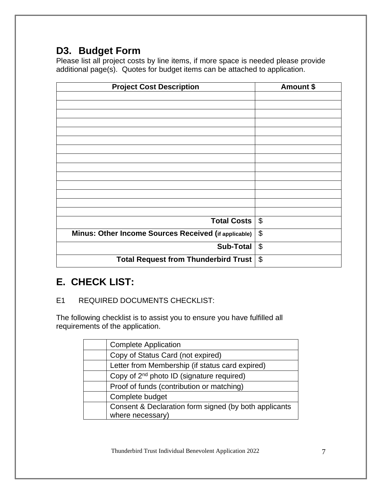## **D3. Budget Form**

Please list all project costs by line items, if more space is needed please provide additional page(s). Quotes for budget items can be attached to application.

| <b>Project Cost Description</b>                      | Amount \$                 |
|------------------------------------------------------|---------------------------|
|                                                      |                           |
|                                                      |                           |
|                                                      |                           |
|                                                      |                           |
|                                                      |                           |
|                                                      |                           |
|                                                      |                           |
|                                                      |                           |
|                                                      |                           |
|                                                      |                           |
|                                                      |                           |
|                                                      |                           |
| <b>Total Costs</b>                                   | $\boldsymbol{\theta}$     |
| Minus: Other Income Sources Received (if applicable) | $\boldsymbol{\theta}$     |
| <b>Sub-Total</b>                                     | $\boldsymbol{\mathsf{S}}$ |
| <b>Total Request from Thunderbird Trust</b>          | $\boldsymbol{\theta}$     |

### **E. CHECK LIST:**

E1 REQUIRED DOCUMENTS CHECKLIST:

The following checklist is to assist you to ensure you have fulfilled all requirements of the application.

| <b>Complete Application</b>                           |
|-------------------------------------------------------|
| Copy of Status Card (not expired)                     |
| Letter from Membership (if status card expired)       |
| Copy of 2 <sup>nd</sup> photo ID (signature required) |
| Proof of funds (contribution or matching)             |
| Complete budget                                       |
| Consent & Declaration form signed (by both applicants |
| where necessary)                                      |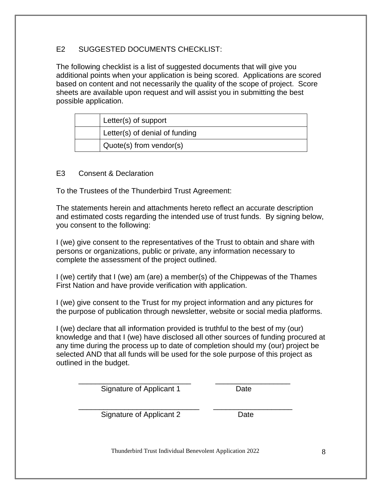#### E2 SUGGESTED DOCUMENTS CHECKLIST:

The following checklist is a list of suggested documents that will give you additional points when your application is being scored. Applications are scored based on content and not necessarily the quality of the scope of project. Score sheets are available upon request and will assist you in submitting the best possible application.

| Letter(s) of support           |
|--------------------------------|
| Letter(s) of denial of funding |
| Quote(s) from vendor(s)        |

#### E3 Consent & Declaration

To the Trustees of the Thunderbird Trust Agreement:

The statements herein and attachments hereto reflect an accurate description and estimated costs regarding the intended use of trust funds. By signing below, you consent to the following:

I (we) give consent to the representatives of the Trust to obtain and share with persons or organizations, public or private, any information necessary to complete the assessment of the project outlined.

I (we) certify that I (we) am (are) a member(s) of the Chippewas of the Thames First Nation and have provide verification with application.

I (we) give consent to the Trust for my project information and any pictures for the purpose of publication through newsletter, website or social media platforms.

I (we) declare that all information provided is truthful to the best of my (our) knowledge and that I (we) have disclosed all other sources of funding procured at any time during the process up to date of completion should my (our) project be selected AND that all funds will be used for the sole purpose of this project as outlined in the budget.

\_\_\_\_\_\_\_\_\_\_\_\_\_\_\_\_\_\_\_\_\_\_\_\_\_\_\_ \_\_\_\_\_\_\_\_\_\_\_\_\_\_\_\_\_\_ Signature of Applicant 1 Date

\_\_\_\_\_\_\_\_\_\_\_\_\_\_\_\_\_\_\_\_\_\_\_\_\_\_\_\_\_ \_\_\_\_\_\_\_\_\_\_\_\_\_\_\_\_\_\_\_ Signature of Applicant 2 Date